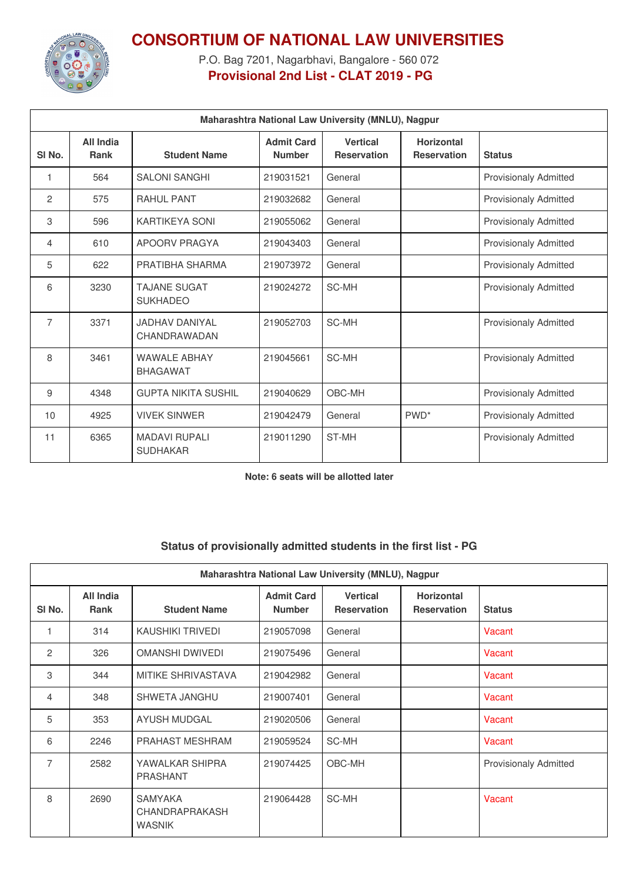

## **CONSORTIUM OF NATIONAL LAW UNIVERSITIES**

P.O. Bag 7201, Nagarbhavi, Bangalore - 560 072 **Provisional 2nd List - CLAT 2019 - PG**

| Maharashtra National Law University (MNLU), Nagpur |                                 |                                         |                                    |                                       |                                         |                              |  |
|----------------------------------------------------|---------------------------------|-----------------------------------------|------------------------------------|---------------------------------------|-----------------------------------------|------------------------------|--|
| SI <sub>No.</sub>                                  | <b>All India</b><br><b>Rank</b> | <b>Student Name</b>                     | <b>Admit Card</b><br><b>Number</b> | <b>Vertical</b><br><b>Reservation</b> | <b>Horizontal</b><br><b>Reservation</b> | <b>Status</b>                |  |
| 1                                                  | 564                             | <b>SALONI SANGHI</b>                    | 219031521                          | General                               |                                         | Provisionaly Admitted        |  |
| 2                                                  | 575                             | <b>RAHUL PANT</b>                       | 219032682                          | General                               |                                         | <b>Provisionaly Admitted</b> |  |
| 3                                                  | 596                             | KARTIKEYA SONI                          | 219055062                          | General                               |                                         | <b>Provisionaly Admitted</b> |  |
| 4                                                  | 610                             | APOORV PRAGYA                           | 219043403                          | General                               |                                         | <b>Provisionaly Admitted</b> |  |
| 5                                                  | 622                             | PRATIBHA SHARMA                         | 219073972                          | General                               |                                         | <b>Provisionaly Admitted</b> |  |
| 6                                                  | 3230                            | <b>TAJANE SUGAT</b><br><b>SUKHADEO</b>  | 219024272                          | SC-MH                                 |                                         | <b>Provisionaly Admitted</b> |  |
| $\overline{7}$                                     | 3371                            | JADHAV DANIYAL<br>CHANDRAWADAN          | 219052703                          | SC-MH                                 |                                         | <b>Provisionaly Admitted</b> |  |
| 8                                                  | 3461                            | <b>WAWALE ABHAY</b><br><b>BHAGAWAT</b>  | 219045661                          | SC-MH                                 |                                         | <b>Provisionaly Admitted</b> |  |
| 9                                                  | 4348                            | <b>GUPTA NIKITA SUSHIL</b>              | 219040629                          | OBC-MH                                |                                         | <b>Provisionaly Admitted</b> |  |
| 10                                                 | 4925                            | <b>VIVEK SINWER</b>                     | 219042479                          | General                               | PWD <sup>*</sup>                        | <b>Provisionaly Admitted</b> |  |
| 11                                                 | 6365                            | <b>MADAVI RUPALI</b><br><b>SUDHAKAR</b> | 219011290                          | ST-MH                                 |                                         | <b>Provisionaly Admitted</b> |  |

**Note: 6 seats will be allotted later**

## **Status of provisionally admitted students in the first list - PG**

| Maharashtra National Law University (MNLU), Nagpur |                   |                                                   |                                    |                                       |                                         |                              |  |
|----------------------------------------------------|-------------------|---------------------------------------------------|------------------------------------|---------------------------------------|-----------------------------------------|------------------------------|--|
| SI No.                                             | All India<br>Rank | <b>Student Name</b>                               | <b>Admit Card</b><br><b>Number</b> | <b>Vertical</b><br><b>Reservation</b> | <b>Horizontal</b><br><b>Reservation</b> | <b>Status</b>                |  |
|                                                    | 314               | <b>KAUSHIKI TRIVEDI</b>                           | 219057098                          | General                               |                                         | Vacant                       |  |
| 2                                                  | 326               | <b>OMANSHI DWIVEDI</b>                            | 219075496                          | General                               |                                         | Vacant                       |  |
| 3                                                  | 344               | MITIKE SHRIVASTAVA                                | 219042982                          | General                               |                                         | Vacant                       |  |
| 4                                                  | 348               | SHWETA JANGHU                                     | 219007401                          | General                               |                                         | Vacant                       |  |
| 5                                                  | 353               | AYUSH MUDGAL                                      | 219020506                          | General                               |                                         | Vacant                       |  |
| 6                                                  | 2246              | <b>PRAHAST MESHRAM</b>                            | 219059524                          | SC-MH                                 |                                         | Vacant                       |  |
| $\overline{7}$                                     | 2582              | YAWALKAR SHIPRA<br><b>PRASHANT</b>                | 219074425                          | OBC-MH                                |                                         | <b>Provisionaly Admitted</b> |  |
| 8                                                  | 2690              | <b>SAMYAKA</b><br>CHANDRAPRAKASH<br><b>WASNIK</b> | 219064428                          | SC-MH                                 |                                         | Vacant                       |  |